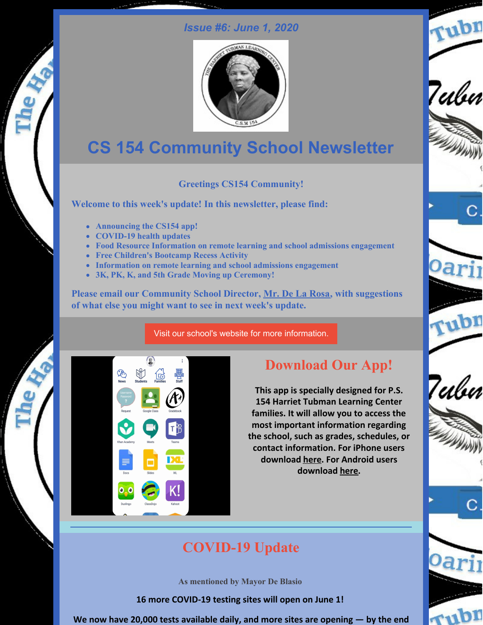### *Issue #6: June 1, 2020*



# **CS 154 Community School Newsletter**

### **Greetings CS154 Community!**

**Welcome to this week's update! In this newsletter, please find:**

- **Announcing the CS154 app!**
- **COVID-19 health updates**
- **Food Resource Information on remote learning and school admissions engagement**
- **Free Children's Bootcamp Recess Activity**
- **Information on remote learning and school admissions engagement**
- **3K, PK, K, and 5th Grade Moving up Ceremony!**

**Please email our Community School Director, Mr. De La [Rosa,](mailto:ad3327@tc.columbia.edu) with suggestions of what else you might want to see in next week's update.**

Visit our school's website for more [information.](http://ps154.com)



# **Download Our App!**

**This app is specially designed for P.S. 154 Harriet Tubman Learning Center families. It will allow you to access the most important information regarding the school, such as grades, schedules, or contact information. For iPhone users download [here](https://apps.apple.com/us/app/p-s-154-harriet-tubman-lc/id1508177827). For Android users download [here](https://play.google.com/store/apps/details?id=com.app.p2851BA&hl=en).**



7ulu

rubn

Tubn



**As mentioned by Mayor De Blasio**

**16 more COVID-19 testing sites will open on June 1!**

**We now have 20,000 tests available daily, and more sites are opening — by the end**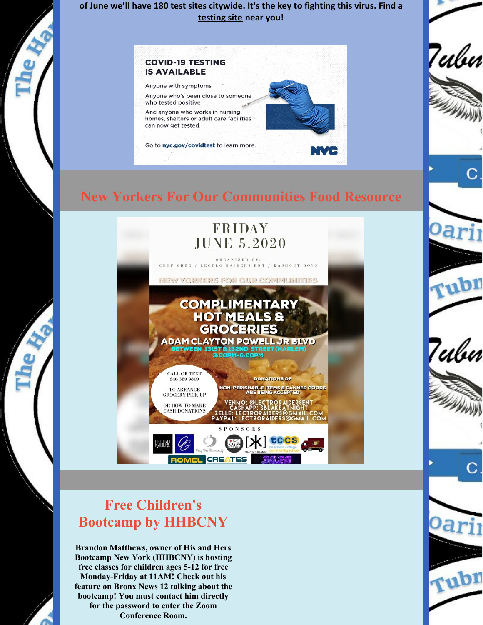**of June we'll have 180 test sites citywide. It's the key to fighting this virus. Find a [testing](https://www1.nyc.gov/site/coronavirus/get-tested/covid-19-testing.page) site near you!**



### **New Yorkers For Our Communities Food Resource**



# **Free Children's Bootcamp by HHBCNY**

**Brandon Matthews, owner of His and Hers Bootcamp New York (HHBCNY) is hosting free classes for children ages 5-12 for free Monday-Friday at 11AM! Check out his [feature](http://bronx.news12.com/clip/15071418/gym-owner-creates-free-virtual-recess-for-kids-to-workout-at-home) on Bronx News 12 talking about the bootcamp! You must contact him [directly](https://twitter.com/HHBCNY/status/1264958880993419271?s=20) for the password to enter the Zoom Conference Room.**



7ulu

Tubn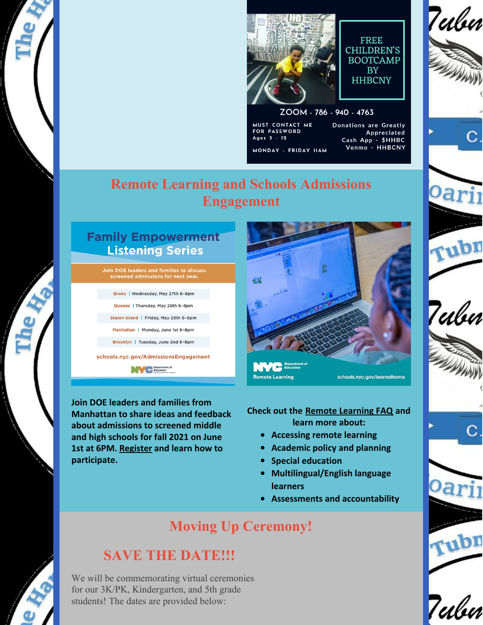

**FREE** CHILDREN'S **BOOTCAMP BY HHBCNY** 

#### ZOOM - 786 - 940 - 4763

MUST CONTACT ME FOR PASSWORD Ages 5 - 12 MONDAY - FRIDAY IIAM Donations are Greatly Appreciated Cash App - \$HHBC<br>Venmo - HHBCNY

# rub Tubn

7ubn







# 7ubn

# **Remote Learning and Schools Admissions Engagement**

### **Family Empowerment Listening Series**

**Join DOE leaders and families to discuss** screened admissions for next year.

Bronx | Wednesday, May 27th 6-8pm

Queens | Thursday, May 28th 6-8pm

Staten Island | Friday, May 29th 6-8pm

Manhattan | Monday, June 1st 6-8pm

Brooklyn | Tuesday, June 2nd 6-8pm

schools.nyc.gov/AdmissionsEngagement

**NVC** Begartment of

**Join DOE leaders and families from Manhattan to share ideas and feedback about admissions to screened middle and high schools for fall 2021 on June 1st at 6PM. [Register](https://www.schools.nyc.gov/admissionsengagement) and learn how to participate.**



**Check out the Remote [Learning](https://www.schools.nyc.gov/learn-at-home/information-on-remote-learning) FAQ and learn more about:**

- **Accessing remote learning**
- **Academic policy and planning**
- **Special education**  $\bullet$
- **Multilingual/English language learners**
- **Assessments and accountability**

# **Moving Up Ceremony!**

# **SAVE THE DATE!!!**

We will be commemorating virtual ceremonies for our 3K/PK, Kindergarten, and 5th grade students! The dates are provided below: